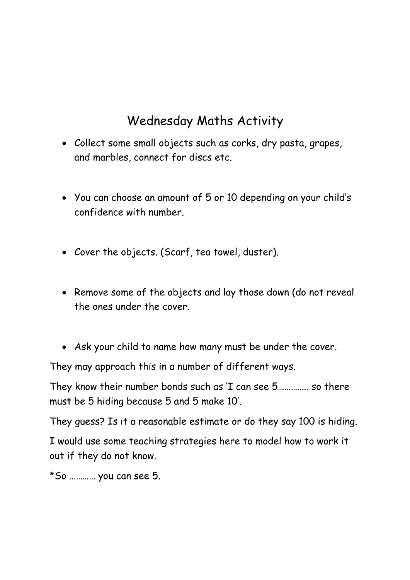## Wednesday Maths Activity

- Collect some small objects such as corks, dry pasta, grapes, and marbles, connect for discs etc.
- You can choose an amount of 5 or 10 depending on your child's confidence with number.
- Cover the objects. (Scarf, tea towel, duster).
- Remove some of the objects and lay those down (do not reveal the ones under the cover.
- Ask your child to name how many must be under the cover.

They may approach this in a number of different ways.

They know their number bonds such as 'I can see 5………….. so there must be 5 hiding because 5 and 5 make 10'.

They guess? Is it a reasonable estimate or do they say 100 is hiding.

I would use some teaching strategies here to model how to work it out if they do not know.

\*So ………… you can see 5.